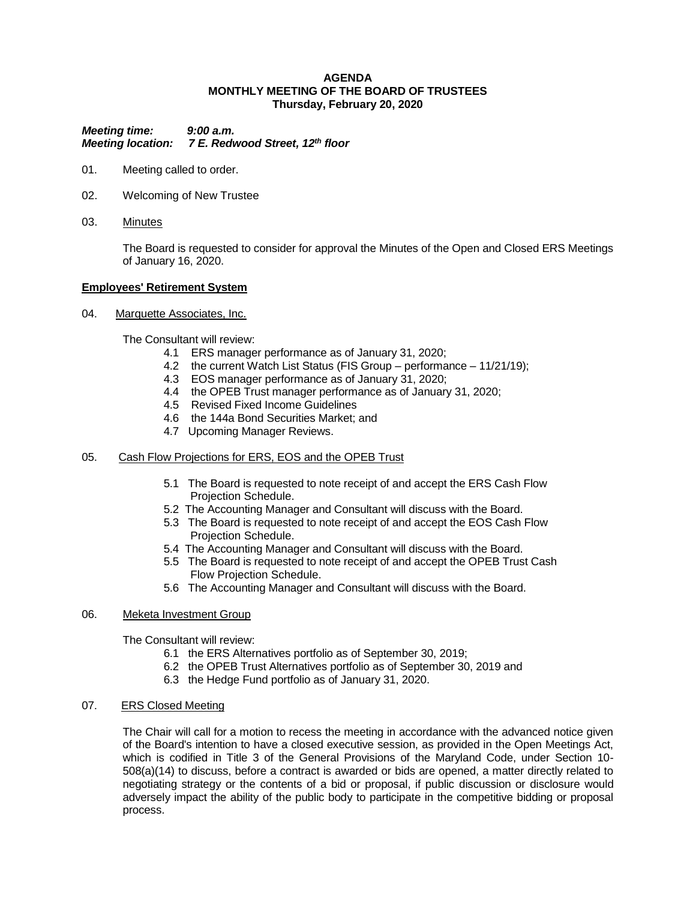### **AGENDA MONTHLY MEETING OF THE BOARD OF TRUSTEES Thursday, February 20, 2020**

*Meeting time: 9:00 a.m. Meeting location: 7 E. Redwood Street, 12th floor*

- 01. Meeting called to order.
- 02. Welcoming of New Trustee
- 03. Minutes

The Board is requested to consider for approval the Minutes of the Open and Closed ERS Meetings of January 16, 2020.

### **Employees' Retirement System**

04. Marquette Associates, Inc.

The Consultant will review:

- 4.1 ERS manager performance as of January 31, 2020;
- 4.2 the current Watch List Status (FIS Group performance 11/21/19);
- 4.3 EOS manager performance as of January 31, 2020;
- 4.4 the OPEB Trust manager performance as of January 31, 2020;
- 4.5 Revised Fixed Income Guidelines
- 4.6 the 144a Bond Securities Market; and
- 4.7 Upcoming Manager Reviews.

# 05. Cash Flow Projections for ERS, EOS and the OPEB Trust

- 5.1 The Board is requested to note receipt of and accept the ERS Cash Flow Projection Schedule.
- 5.2 The Accounting Manager and Consultant will discuss with the Board.
- 5.3 The Board is requested to note receipt of and accept the EOS Cash Flow Projection Schedule.
- 5.4 The Accounting Manager and Consultant will discuss with the Board.
- 5.5 The Board is requested to note receipt of and accept the OPEB Trust Cash Flow Projection Schedule.
- 5.6 The Accounting Manager and Consultant will discuss with the Board.

# 06. Meketa Investment Group

The Consultant will review:

- 6.1 the ERS Alternatives portfolio as of September 30, 2019;
- 6.2 the OPEB Trust Alternatives portfolio as of September 30, 2019 and
- 6.3 the Hedge Fund portfolio as of January 31, 2020.

#### 07. ERS Closed Meeting

The Chair will call for a motion to recess the meeting in accordance with the advanced notice given of the Board's intention to have a closed executive session, as provided in the Open Meetings Act, which is codified in Title 3 of the General Provisions of the Maryland Code, under Section 10- 508(a)(14) to discuss, before a contract is awarded or bids are opened, a matter directly related to negotiating strategy or the contents of a bid or proposal, if public discussion or disclosure would adversely impact the ability of the public body to participate in the competitive bidding or proposal process.